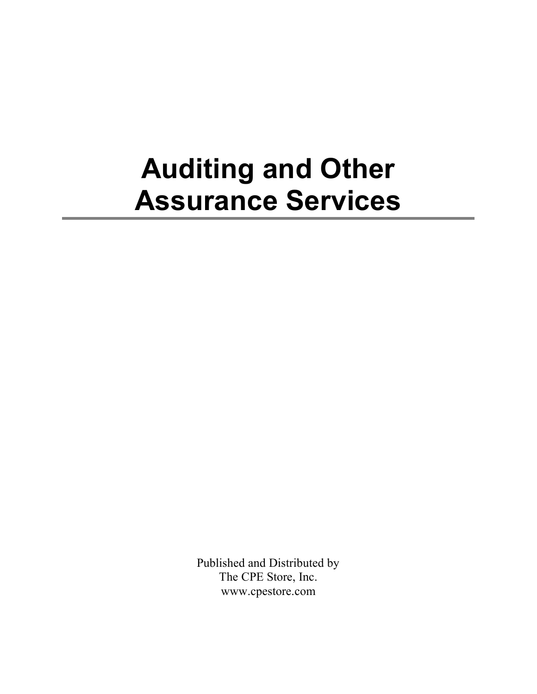## **Auditing and Other Assurance Services**

Published and Distributed by The CPE Store, Inc. www.cpestore.com